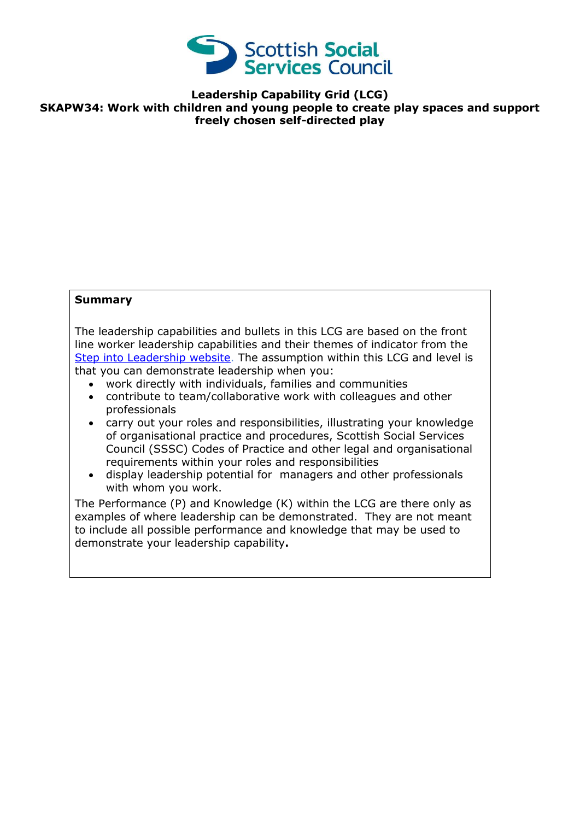

**Leadership Capability Grid (LCG) SKAPW34: Work with children and young people to create play spaces and support freely chosen self-directed play**

## **Summary**

The leadership capabilities and bullets in this LCG are based on the front line worker leadership capabilities and their themes of indicator from the [Step into Leadership website.](http://www.stepintoleadership.info/) The assumption within this LCG and level is that you can demonstrate leadership when you:

- work directly with individuals, families and communities
- contribute to team/collaborative work with colleagues and other professionals
- carry out your roles and responsibilities, illustrating your knowledge of organisational practice and procedures, Scottish Social Services Council (SSSC) Codes of Practice and other legal and organisational requirements within your roles and responsibilities
- display leadership potential for managers and other professionals with whom you work.

The Performance (P) and Knowledge (K) within the LCG are there only as examples of where leadership can be demonstrated. They are not meant to include all possible performance and knowledge that may be used to demonstrate your leadership capability**.**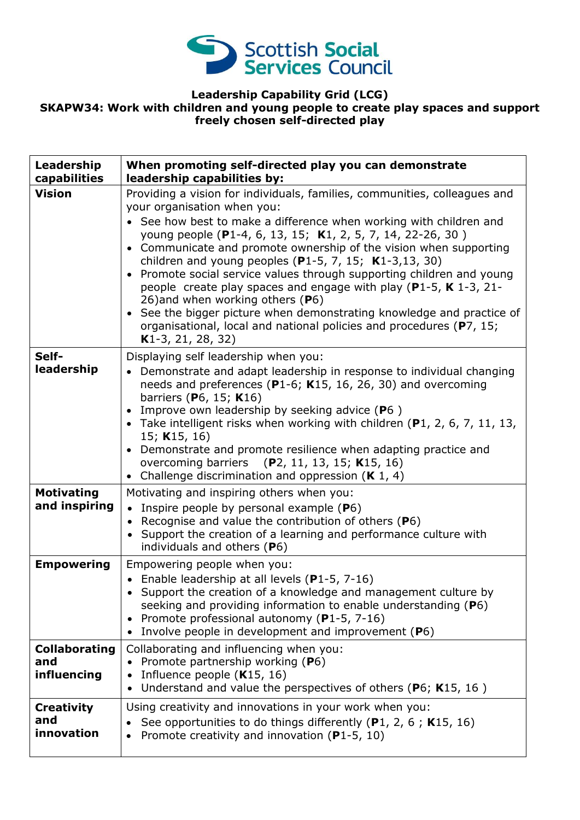

## **Leadership Capability Grid (LCG) SKAPW34: Work with children and young people to create play spaces and support freely chosen self-directed play**

| Leadership<br>capabilities                 | When promoting self-directed play you can demonstrate<br>leadership capabilities by:                                                                                                                                                                                                                                                                                                                                                                                                                                                                                                                                                                                                                                                  |
|--------------------------------------------|---------------------------------------------------------------------------------------------------------------------------------------------------------------------------------------------------------------------------------------------------------------------------------------------------------------------------------------------------------------------------------------------------------------------------------------------------------------------------------------------------------------------------------------------------------------------------------------------------------------------------------------------------------------------------------------------------------------------------------------|
| <b>Vision</b>                              | Providing a vision for individuals, families, communities, colleagues and<br>your organisation when you:<br>See how best to make a difference when working with children and<br>young people (P1-4, 6, 13, 15; K1, 2, 5, 7, 14, 22-26, 30)<br>• Communicate and promote ownership of the vision when supporting<br>children and young peoples (P1-5, 7, 15; $K1-3,13, 30$ )<br>Promote social service values through supporting children and young<br>people create play spaces and engage with play ( $P1-5$ , K 1-3, 21-<br>26) and when working others (P6)<br>• See the bigger picture when demonstrating knowledge and practice of<br>organisational, local and national policies and procedures (P7, 15;<br>$K1-3, 21, 28, 32)$ |
| Self-<br>leadership                        | Displaying self leadership when you:<br>Demonstrate and adapt leadership in response to individual changing<br>needs and preferences ( $P1-6$ ; K15, 16, 26, 30) and overcoming<br>barriers (P6, 15; K16)<br>Improve own leadership by seeking advice (P6)<br>• Take intelligent risks when working with children $(P1, 2, 6, 7, 11, 13, 13)$<br>15; K15, 16)<br>• Demonstrate and promote resilience when adapting practice and<br>overcoming barriers (P2, 11, 13, 15; K15, 16)<br>• Challenge discrimination and oppression $(K 1, 4)$                                                                                                                                                                                             |
| <b>Motivating</b><br>and inspiring         | Motivating and inspiring others when you:<br>Inspire people by personal example (P6)<br>Recognise and value the contribution of others (P6)<br>$\bullet$<br>Support the creation of a learning and performance culture with<br>individuals and others (P6)                                                                                                                                                                                                                                                                                                                                                                                                                                                                            |
| <b>Empowering</b>                          | Empowering people when you:<br>• Enable leadership at all levels $(P1-5, 7-16)$<br>Support the creation of a knowledge and management culture by<br>seeking and providing information to enable understanding (P6)<br>Promote professional autonomy (P1-5, 7-16)<br>$\bullet$<br>Involve people in development and improvement (P6)                                                                                                                                                                                                                                                                                                                                                                                                   |
| <b>Collaborating</b><br>and<br>influencing | Collaborating and influencing when you:<br>Promote partnership working (P6)<br>$\bullet$<br>Influence people $(K15, 16)$<br>Understand and value the perspectives of others ( $P6$ ; K15, 16)                                                                                                                                                                                                                                                                                                                                                                                                                                                                                                                                         |
| <b>Creativity</b><br>and<br>innovation     | Using creativity and innovations in your work when you:<br>See opportunities to do things differently (P1, 2, 6; K15, 16)<br>Promote creativity and innovation (P1-5, 10)                                                                                                                                                                                                                                                                                                                                                                                                                                                                                                                                                             |